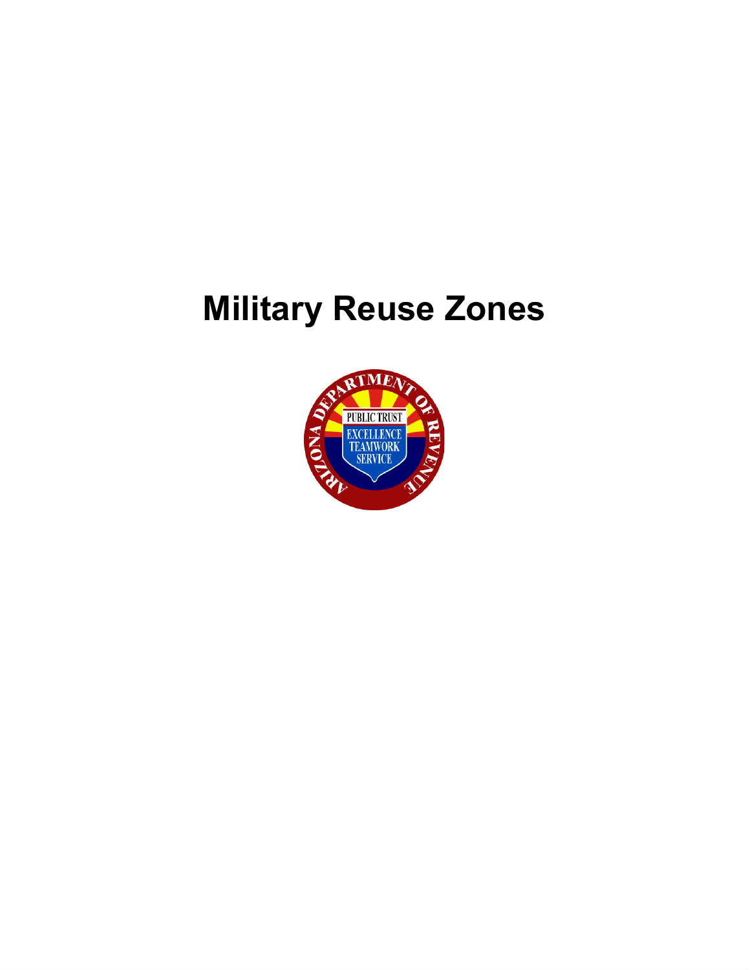# **Military Reuse Zones**

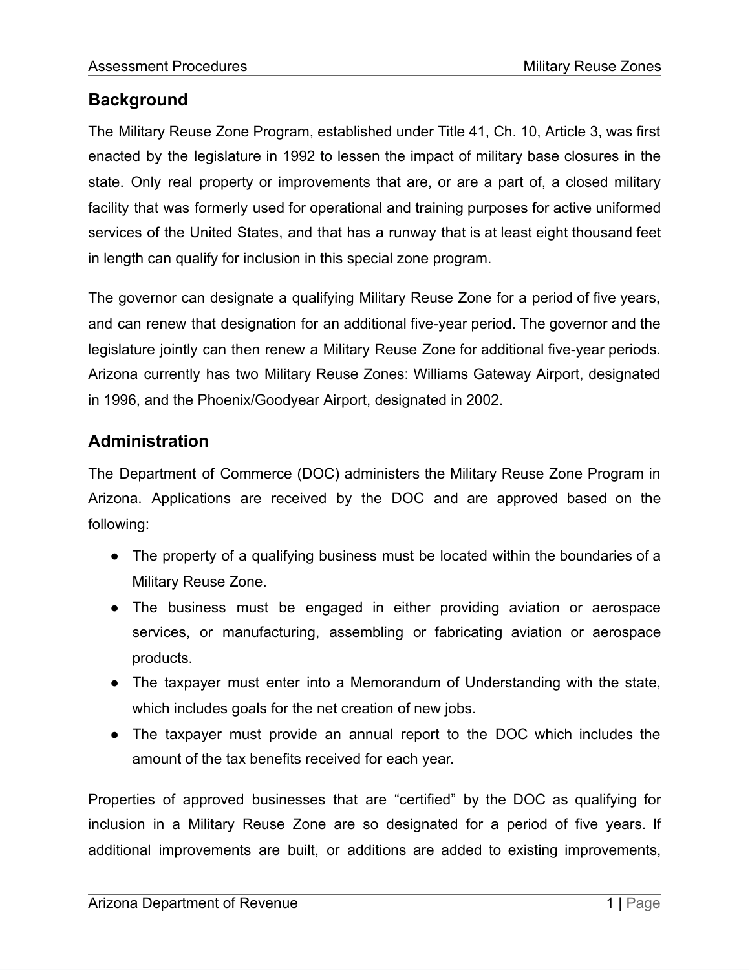## **Background**

The Military Reuse Zone Program, established under Title 41, Ch. 10, Article 3, was first enacted by the legislature in 1992 to lessen the impact of military base closures in the state. Only real property or improvements that are, or are a part of, a closed military facility that was formerly used for operational and training purposes for active uniformed services of the United States, and that has a runway that is at least eight thousand feet in length can qualify for inclusion in this special zone program.

The governor can designate a qualifying Military Reuse Zone for a period of five years, and can renew that designation for an additional five-year period. The governor and the legislature jointly can then renew a Military Reuse Zone for additional five-year periods. Arizona currently has two Military Reuse Zones: Williams Gateway Airport, designated in 1996, and the Phoenix/Goodyear Airport, designated in 2002.

## **Administration**

The Department of Commerce (DOC) administers the Military Reuse Zone Program in Arizona. Applications are received by the DOC and are approved based on the following:

- The property of a qualifying business must be located within the boundaries of a Military Reuse Zone.
- The business must be engaged in either providing aviation or aerospace services, or manufacturing, assembling or fabricating aviation or aerospace products.
- The taxpayer must enter into a Memorandum of Understanding with the state, which includes goals for the net creation of new jobs.
- The taxpayer must provide an annual report to the DOC which includes the amount of the tax benefits received for each year.

Properties of approved businesses that are "certified" by the DOC as qualifying for inclusion in a Military Reuse Zone are so designated for a period of five years. If additional improvements are built, or additions are added to existing improvements,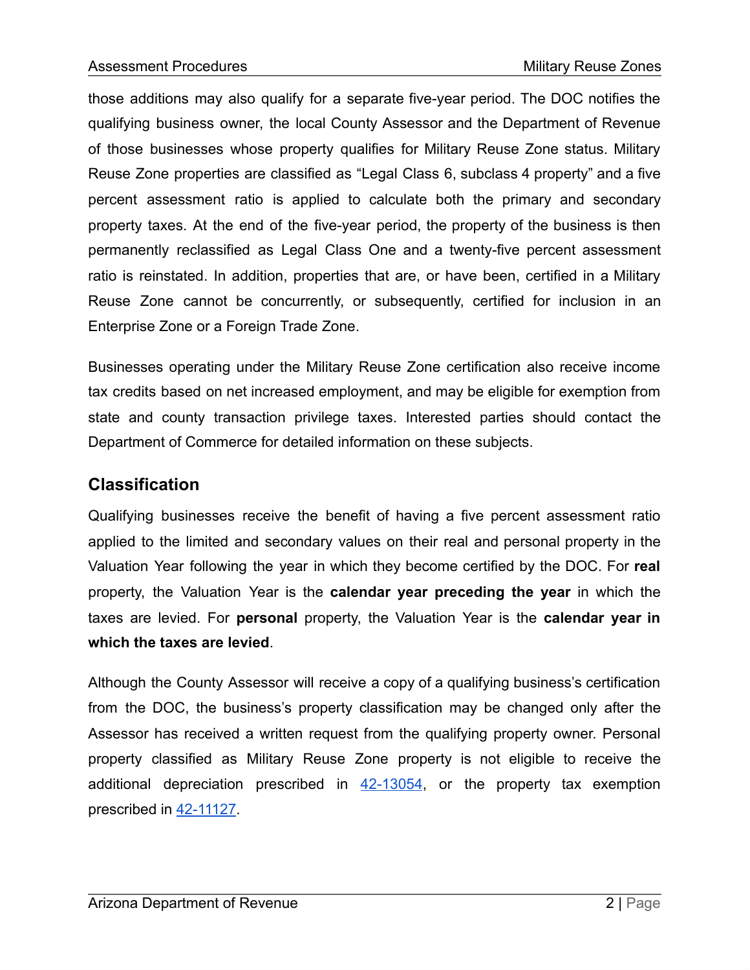those additions may also qualify for a separate five-year period. The DOC notifies the qualifying business owner, the local County Assessor and the Department of Revenue of those businesses whose property qualifies for Military Reuse Zone status. Military Reuse Zone properties are classified as "Legal Class 6, subclass 4 property" and a five percent assessment ratio is applied to calculate both the primary and secondary property taxes. At the end of the five-year period, the property of the business is then permanently reclassified as Legal Class One and a twenty-five percent assessment ratio is reinstated. In addition, properties that are, or have been, certified in a Military Reuse Zone cannot be concurrently, or subsequently, certified for inclusion in an Enterprise Zone or a Foreign Trade Zone.

Businesses operating under the Military Reuse Zone certification also receive income tax credits based on net increased employment, and may be eligible for exemption from state and county transaction privilege taxes. Interested parties should contact the Department of Commerce for detailed information on these subjects.

#### **Classification**

Qualifying businesses receive the benefit of having a five percent assessment ratio applied to the limited and secondary values on their real and personal property in the Valuation Year following the year in which they become certified by the DOC. For **real** property, the Valuation Year is the **calendar year preceding the year** in which the taxes are levied. For **personal** property, the Valuation Year is the **calendar year in which the taxes are levied**.

Although the County Assessor will receive a copy of a qualifying business's certification from the DOC, the business's property classification may be changed only after the Assessor has received a written request from the qualifying property owner. Personal property classified as Military Reuse Zone property is not eligible to receive the additional depreciation prescribed in  $42-13054$ , or the property tax exemption prescribed in [42-11127.](https://www.azleg.gov/viewdocument/?docName=https://www.azleg.gov/ars/42/11127.htm)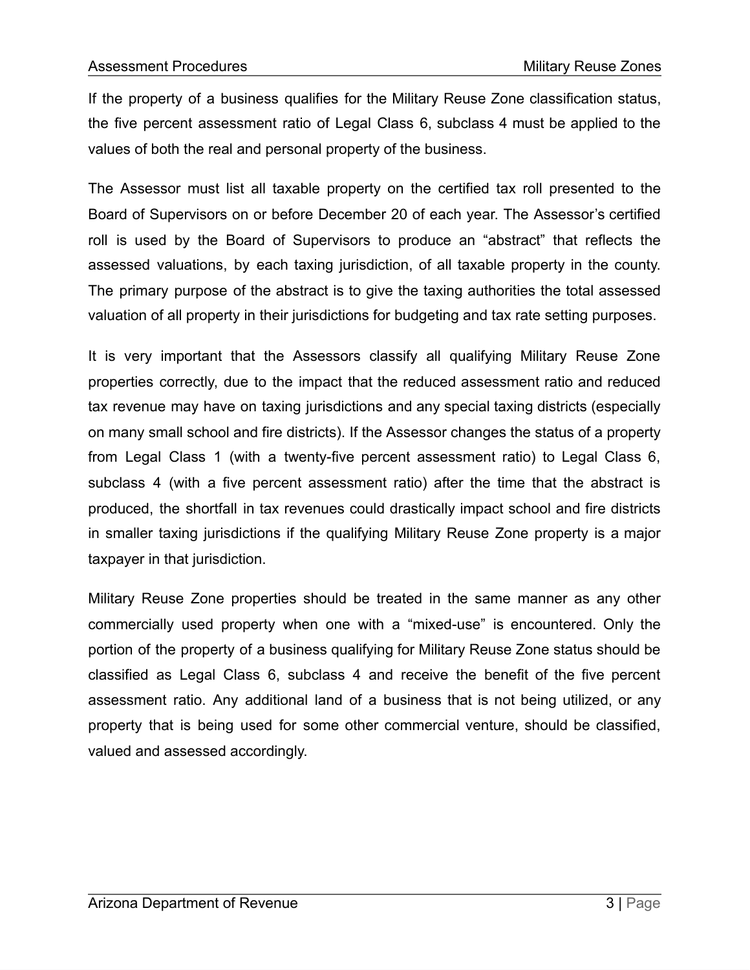If the property of a business qualifies for the Military Reuse Zone classification status, the five percent assessment ratio of Legal Class 6, subclass 4 must be applied to the values of both the real and personal property of the business.

The Assessor must list all taxable property on the certified tax roll presented to the Board of Supervisors on or before December 20 of each year. The Assessor's certified roll is used by the Board of Supervisors to produce an "abstract" that reflects the assessed valuations, by each taxing jurisdiction, of all taxable property in the county. The primary purpose of the abstract is to give the taxing authorities the total assessed valuation of all property in their jurisdictions for budgeting and tax rate setting purposes.

It is very important that the Assessors classify all qualifying Military Reuse Zone properties correctly, due to the impact that the reduced assessment ratio and reduced tax revenue may have on taxing jurisdictions and any special taxing districts (especially on many small school and fire districts). If the Assessor changes the status of a property from Legal Class 1 (with a twenty-five percent assessment ratio) to Legal Class 6, subclass 4 (with a five percent assessment ratio) after the time that the abstract is produced, the shortfall in tax revenues could drastically impact school and fire districts in smaller taxing jurisdictions if the qualifying Military Reuse Zone property is a major taxpayer in that jurisdiction.

Military Reuse Zone properties should be treated in the same manner as any other commercially used property when one with a "mixed-use" is encountered. Only the portion of the property of a business qualifying for Military Reuse Zone status should be classified as Legal Class 6, subclass 4 and receive the benefit of the five percent assessment ratio. Any additional land of a business that is not being utilized, or any property that is being used for some other commercial venture, should be classified, valued and assessed accordingly.